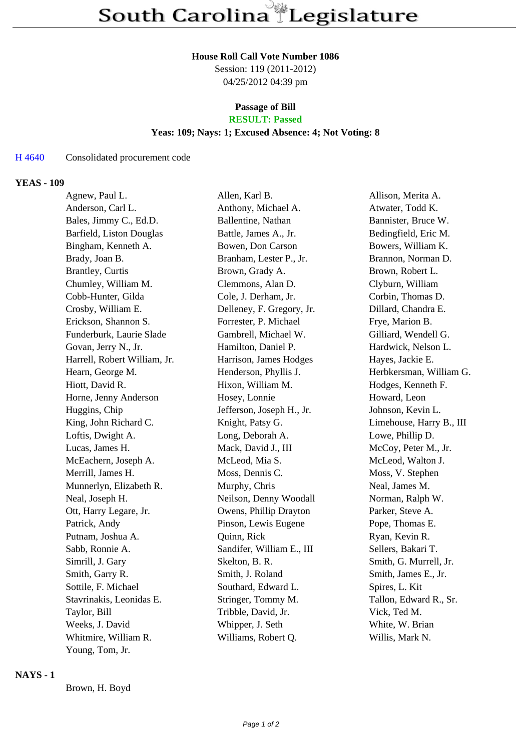#### **House Roll Call Vote Number 1086**

Session: 119 (2011-2012) 04/25/2012 04:39 pm

#### **Passage of Bill RESULT: Passed**

## **Yeas: 109; Nays: 1; Excused Absence: 4; Not Voting: 8**

# H 4640 Consolidated procurement code

## **YEAS - 109**

| Agnew, Paul L.               | Allen, Karl B.            | Allison, Merita A.       |
|------------------------------|---------------------------|--------------------------|
| Anderson, Carl L.            | Anthony, Michael A.       | Atwater, Todd K.         |
| Bales, Jimmy C., Ed.D.       | Ballentine, Nathan        | Bannister, Bruce W.      |
| Barfield, Liston Douglas     | Battle, James A., Jr.     | Bedingfield, Eric M.     |
| Bingham, Kenneth A.          | Bowen, Don Carson         | Bowers, William K.       |
| Brady, Joan B.               | Branham, Lester P., Jr.   | Brannon, Norman D.       |
| Brantley, Curtis             | Brown, Grady A.           | Brown, Robert L.         |
| Chumley, William M.          | Clemmons, Alan D.         | Clyburn, William         |
| Cobb-Hunter, Gilda           | Cole, J. Derham, Jr.      | Corbin, Thomas D.        |
| Crosby, William E.           | Delleney, F. Gregory, Jr. | Dillard, Chandra E.      |
| Erickson, Shannon S.         | Forrester, P. Michael     | Frye, Marion B.          |
| Funderburk, Laurie Slade     | Gambrell, Michael W.      | Gilliard, Wendell G.     |
| Govan, Jerry N., Jr.         | Hamilton, Daniel P.       | Hardwick, Nelson L.      |
| Harrell, Robert William, Jr. | Harrison, James Hodges    | Hayes, Jackie E.         |
| Hearn, George M.             | Henderson, Phyllis J.     | Herbkersman, William G.  |
| Hiott, David R.              | Hixon, William M.         | Hodges, Kenneth F.       |
| Horne, Jenny Anderson        | Hosey, Lonnie             | Howard, Leon             |
| Huggins, Chip                | Jefferson, Joseph H., Jr. | Johnson, Kevin L.        |
| King, John Richard C.        | Knight, Patsy G.          | Limehouse, Harry B., III |
| Loftis, Dwight A.            | Long, Deborah A.          | Lowe, Phillip D.         |
| Lucas, James H.              | Mack, David J., III       | McCoy, Peter M., Jr.     |
| McEachern, Joseph A.         | McLeod, Mia S.            | McLeod, Walton J.        |
| Merrill, James H.            | Moss, Dennis C.           | Moss, V. Stephen         |
| Munnerlyn, Elizabeth R.      | Murphy, Chris             | Neal, James M.           |
| Neal, Joseph H.              | Neilson, Denny Woodall    | Norman, Ralph W.         |
| Ott, Harry Legare, Jr.       | Owens, Phillip Drayton    | Parker, Steve A.         |
| Patrick, Andy                | Pinson, Lewis Eugene      | Pope, Thomas E.          |
| Putnam, Joshua A.            | Quinn, Rick               | Ryan, Kevin R.           |
| Sabb, Ronnie A.              | Sandifer, William E., III | Sellers, Bakari T.       |
| Simrill, J. Gary             | Skelton, B. R.            | Smith, G. Murrell, Jr.   |
| Smith, Garry R.              | Smith, J. Roland          | Smith, James E., Jr.     |
| Sottile, F. Michael          | Southard, Edward L.       | Spires, L. Kit           |
| Stavrinakis, Leonidas E.     | Stringer, Tommy M.        | Tallon, Edward R., Sr.   |
| Taylor, Bill                 | Tribble, David, Jr.       | Vick, Ted M.             |
| Weeks, J. David              | Whipper, J. Seth          | White, W. Brian          |
| Whitmire, William R.         | Williams, Robert Q.       | Willis, Mark N.          |
| Young, Tom, Jr.              |                           |                          |

## **NAYS - 1**

Brown, H. Boyd